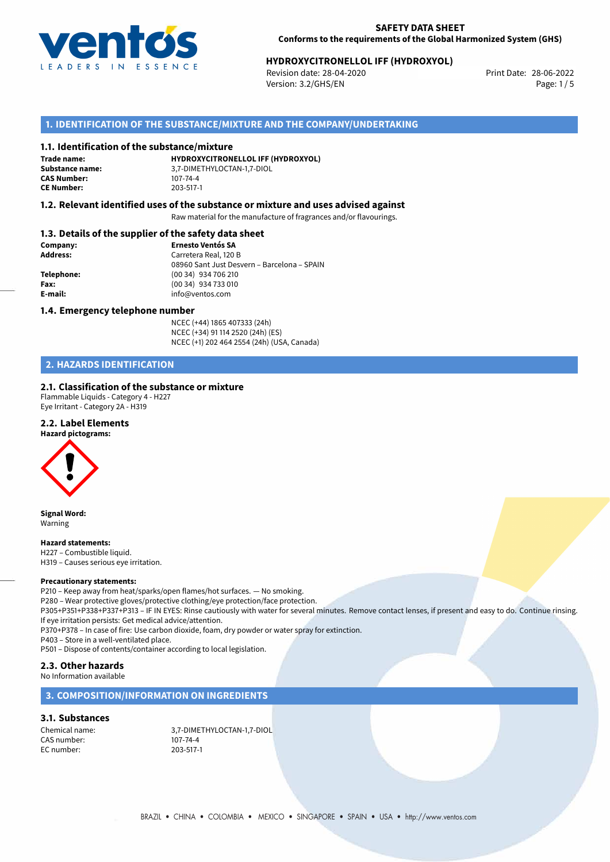

# **HYDROXYCITRONELLOL IFF (HYDROXYOL)**<br>Revision date: 28-04-2020<br>Print Date: 28-06-2022

Revision date: 28-04-2020 Version: 3.2/GHS/EN Page: 1/5

# **1. IDENTIFICATION OF THE SUBSTANCE/MIXTURE AND THE COMPANY/UNDERTAKING**

#### **1.1. Identification of the substance/mixture**

**Trade name: CAS Number: CE Number:** 203-517-1

**HYDROXYCITRONELLOL IFF (HYDROXYOL) Substance name:** 3,7-DIMETHYLOCTAN-1,7-DIOL

#### **1.2. Relevant identified uses of the substance or mixture and uses advised against**

Raw material for the manufacture of fragrances and/or flavourings.

### **1.3. Details of the supplier of the safety data sheet**

| Company:        | <b>Ernesto Ventós SA</b>                    |
|-----------------|---------------------------------------------|
| <b>Address:</b> | Carretera Real, 120 B                       |
|                 | 08960 Sant Just Desvern - Barcelona - SPAIN |
| Telephone:      | (00 34) 934 706 210                         |
| Fax:            | (00 34) 934 733 010                         |
| E-mail:         | info@ventos.com                             |
|                 |                                             |

#### **1.4. Emergency telephone number**

NCEC (+44) 1865 407333 (24h) NCEC (+34) 91 114 2520 (24h) (ES) NCEC (+1) 202 464 2554 (24h) (USA, Canada)

# **2. HAZARDS IDENTIFICATION**

### **2.1. Classification of the substance or mixture**

Flammable Liquids - Category 4 - H227 Eye Irritant - Category 2A - H319

### **2.2. Label Elements**

#### **Hazard pictograms:**



**Signal Word:** Warning

#### **Hazard statements:**

H227 – Combustible liquid. H319 – Causes serious eye irritation.

#### **Precautionary statements:**

P210 – Keep away from heat/sparks/open flames/hot surfaces. — No smoking.

P280 – Wear protective gloves/protective clothing/eye protection/face protection.

P305+P351+P338+P337+P313 – IF IN EYES: Rinse cautiously with water for several minutes. Remove contact lenses, if present and easy to do. Continue rinsing. If eye irritation persists: Get medical advice/attention.

P370+P378 – In case of fire: Use carbon dioxide, foam, dry powder or water spray for extinction.

P403 – Store in a well-ventilated place.

P501 – Dispose of contents/container according to local legislation.

# **2.3. Other hazards**

No Information available

## **3. COMPOSITION/INFORMATION ON INGREDIENTS**

#### **3.1. Substances**

CAS number: 107-74-4<br>EC number: 203-517-1 EC number:

Chemical name: 3,7-DIMETHYLOCTAN-1,7-DIOL<br>CAS number: 107-74-4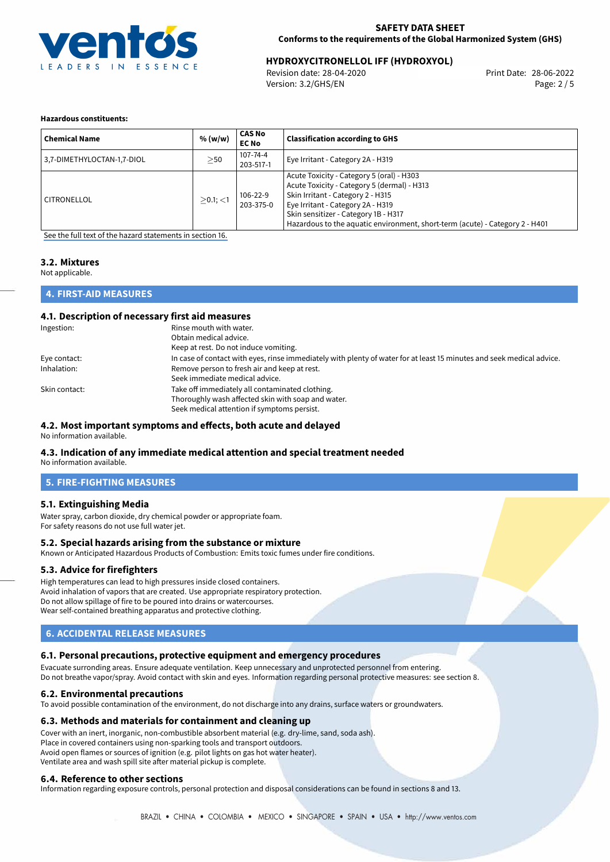

# 28-06-2022 **HYDROXYCITRONELLOL IFF (HYDROXYOL)**

Revision date: 28-04-2020 Version: 3.2/GHS/EN Page: 2 / 5

#### **Hazardous constituents:**

| <b>Chemical Name</b>       | % (w/w)     | <b>CAS No</b><br><b>EC No</b> | <b>Classification according to GHS</b>                                                                                                                                                                                                                                                     |
|----------------------------|-------------|-------------------------------|--------------------------------------------------------------------------------------------------------------------------------------------------------------------------------------------------------------------------------------------------------------------------------------------|
| 3,7-DIMETHYLOCTAN-1,7-DIOL | >50         | 107-74-4<br>203-517-1         | Eye Irritant - Category 2A - H319                                                                                                                                                                                                                                                          |
| CITRONELLOL                | $>0.1$ ; <1 | 106-22-9<br>203-375-0         | Acute Toxicity - Category 5 (oral) - H303<br>Acute Toxicity - Category 5 (dermal) - H313<br>Skin Irritant - Category 2 - H315<br>Eye Irritant - Category 2A - H319<br>Skin sensitizer - Category 1B - H317<br>Hazardous to the aquatic environment, short-term (acute) - Category 2 - H401 |

[See the full text of the hazard statements in section 16.](#page-4-0)

# **3.2. Mixtures**

Not applicable.

# **4. FIRST-AID MEASURES**

#### **4.1. Description of necessary first aid measures**

| Ingestion:    | Rinse mouth with water.                                                                                               |
|---------------|-----------------------------------------------------------------------------------------------------------------------|
|               | Obtain medical advice.                                                                                                |
|               | Keep at rest. Do not induce vomiting.                                                                                 |
| Eye contact:  | In case of contact with eyes, rinse immediately with plenty of water for at least 15 minutes and seek medical advice. |
| Inhalation:   | Remove person to fresh air and keep at rest.                                                                          |
|               | Seek immediate medical advice.                                                                                        |
| Skin contact: | Take off immediately all contaminated clothing.                                                                       |
|               | Thoroughly wash affected skin with soap and water.                                                                    |
|               | Seek medical attention if symptoms persist.                                                                           |

#### **4.2. Most important symptoms and effects, both acute and delayed**

No information available.

#### **4.3. Indication of any immediate medical attention and special treatment needed** No information available.

**5. FIRE-FIGHTING MEASURES**

# **5.1. Extinguishing Media**

Water spray, carbon dioxide, dry chemical powder or appropriate foam. For safety reasons do not use full water jet.

#### **5.2. Special hazards arising from the substance or mixture**

Known or Anticipated Hazardous Products of Combustion: Emits toxic fumes under fire conditions.

#### **5.3. Advice for firefighters**

High temperatures can lead to high pressures inside closed containers. Avoid inhalation of vapors that are created. Use appropriate respiratory protection. Do not allow spillage of fire to be poured into drains or watercourses. Wear self-contained breathing apparatus and protective clothing.

# **6. ACCIDENTAL RELEASE MEASURES**

#### **6.1. Personal precautions, protective equipment and emergency procedures**

Evacuate surronding areas. Ensure adequate ventilation. Keep unnecessary and unprotected personnel from entering. Do not breathe vapor/spray. Avoid contact with skin and eyes. Information regarding personal protective measures: see section 8.

#### **6.2. Environmental precautions**

To avoid possible contamination of the environment, do not discharge into any drains, surface waters or groundwaters.

#### **6.3. Methods and materials for containment and cleaning up**

Cover with an inert, inorganic, non-combustible absorbent material (e.g. dry-lime, sand, soda ash). Place in covered containers using non-sparking tools and transport outdoors. Avoid open flames or sources of ignition (e.g. pilot lights on gas hot water heater). Ventilate area and wash spill site after material pickup is complete.

#### **6.4. Reference to other sections**

Information regarding exposure controls, personal protection and disposal considerations can be found in sections 8 and 13.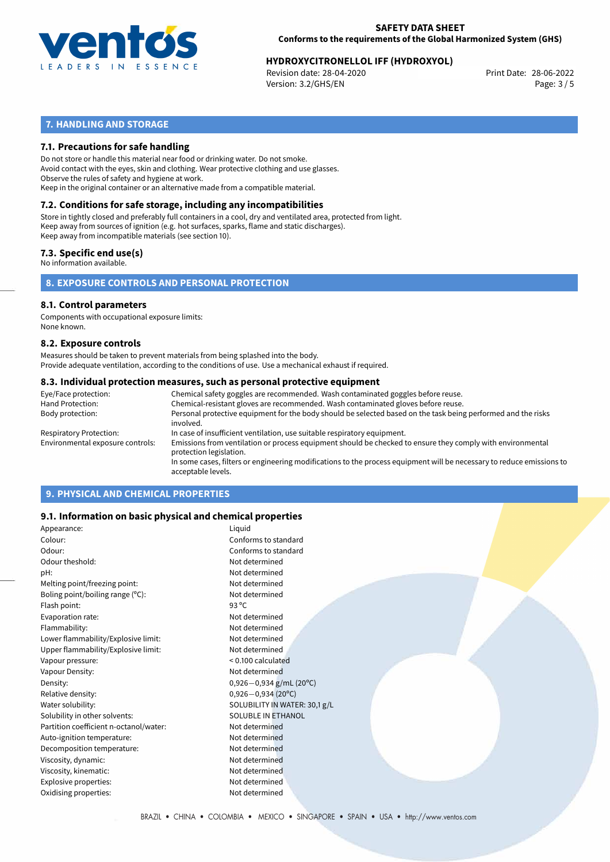

# **HYDROXYCITRONELLOL IFF (HYDROXYOL)**<br>Revision date: 28-04-2020<br>Print Date: 28-06-2022

Revision date: 28-04-2020 Version: 3.2/GHS/EN Page: 3 / 5

# **7. HANDLING AND STORAGE**

## **7.1. Precautions for safe handling**

Do not store or handle this material near food or drinking water. Do not smoke. Avoid contact with the eyes, skin and clothing. Wear protective clothing and use glasses. Observe the rules of safety and hygiene at work. Keep in the original container or an alternative made from a compatible material.

# **7.2. Conditions for safe storage, including any incompatibilities**

Store in tightly closed and preferably full containers in a cool, dry and ventilated area, protected from light. Keep away from sources of ignition (e.g. hot surfaces, sparks, flame and static discharges). Keep away from incompatible materials (see section 10).

## **7.3. Specific end use(s)**

No information available.

**8. EXPOSURE CONTROLS AND PERSONAL PROTECTION**

#### **8.1. Control parameters**

Components with occupational exposure limits: None known.

#### **8.2. Exposure controls**

Measures should be taken to prevent materials from being splashed into the body. Provide adequate ventilation, according to the conditions of use. Use a mechanical exhaust if required.

#### **8.3. Individual protection measures, such as personal protective equipment**

| Eye/Face protection:             | Chemical safety goggles are recommended. Wash contaminated goggles before reuse.                                                            |
|----------------------------------|---------------------------------------------------------------------------------------------------------------------------------------------|
| Hand Protection:                 | Chemical-resistant gloves are recommended. Wash contaminated gloves before reuse.                                                           |
| Body protection:                 | Personal protective equipment for the body should be selected based on the task being performed and the risks<br>involved.                  |
| Respiratory Protection:          | In case of insufficient ventilation, use suitable respiratory equipment.                                                                    |
| Environmental exposure controls: | Emissions from ventilation or process equipment should be checked to ensure they comply with environmental<br>protection legislation.       |
|                                  | In some cases, filters or engineering modifications to the process equipment will be necessary to reduce emissions to<br>acceptable levels. |
|                                  |                                                                                                                                             |

# **9. PHYSICAL AND CHEMICAL PROPERTIES**

### **9.1. Information on basic physical and chemical properties**

| Appearance:                            | Liquid                        |
|----------------------------------------|-------------------------------|
| Colour:                                | Conforms to standard          |
| Odour:                                 | Conforms to standard          |
| Odour theshold:                        | Not determined                |
| pH:                                    | Not determined                |
| Melting point/freezing point:          | Not determined                |
| Boling point/boiling range $(°C)$ :    | Not determined                |
| Flash point:                           | 93 $^{\circ}$ C               |
| Evaporation rate:                      | Not determined                |
| Flammability:                          | Not determined                |
| Lower flammability/Explosive limit:    | Not determined                |
| Upper flammability/Explosive limit:    | Not determined                |
| Vapour pressure:                       | $< 0.100$ calculated          |
| Vapour Density:                        | Not determined                |
| Density:                               | $0,926 - 0,934$ g/mL (20°C)   |
| Relative density:                      | $0,926 - 0,934(20°C)$         |
| Water solubility:                      | SOLUBILITY IN WATER: 30,1 g/L |
| Solubility in other solvents:          | <b>SOLUBLE IN ETHANOL</b>     |
| Partition coefficient n-octanol/water: | Not determined                |
| Auto-ignition temperature:             | Not determined                |
| Decomposition temperature:             | Not determined                |
| Viscosity, dynamic:                    | Not determined                |
| Viscosity, kinematic:                  | Not determined                |
| Explosive properties:                  | Not determined                |
| Oxidising properties:                  | Not determined                |
|                                        |                               |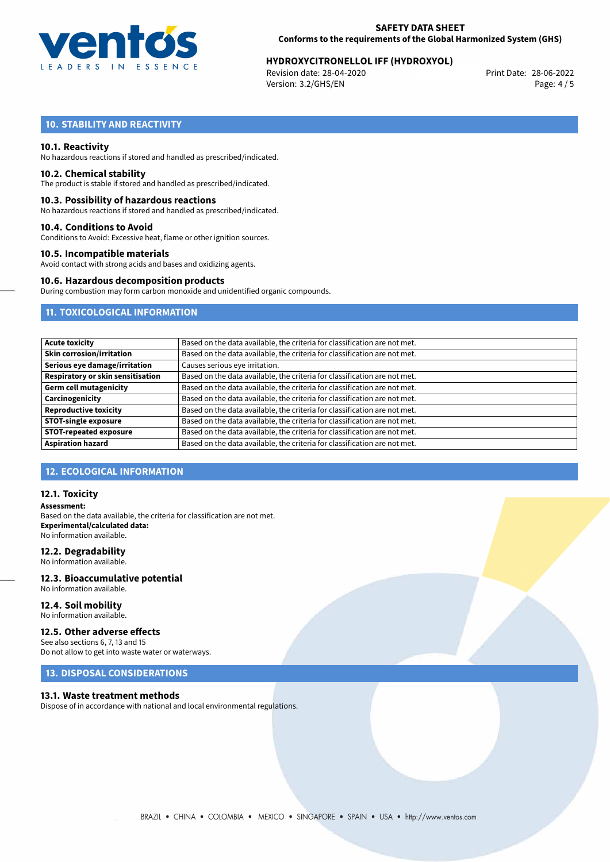

# **HYDROXYCITRONELLOL IFF (HYDROXYOL)**<br>Revision date: 28-04-2020<br>Print Date: 28-06-2022

Revision date: 28-04-2020 Version: 3.2/GHS/EN Page: 4 / 5

# **10. STABILITY AND REACTIVITY**

#### **10.1. Reactivity**

No hazardous reactions if stored and handled as prescribed/indicated.

#### **10.2. Chemical stability**

The product is stable if stored and handled as prescribed/indicated.

#### **10.3. Possibility of hazardous reactions**

No hazardous reactions if stored and handled as prescribed/indicated.

#### **10.4. Conditions to Avoid**

Conditions to Avoid: Excessive heat, flame or other ignition sources.

#### **10.5. Incompatible materials**

Avoid contact with strong acids and bases and oxidizing agents.

#### **10.6. Hazardous decomposition products**

During combustion may form carbon monoxide and unidentified organic compounds.

# **11. TOXICOLOGICAL INFORMATION**

| Based on the data available, the criteria for classification are not met. |
|---------------------------------------------------------------------------|
| Based on the data available, the criteria for classification are not met. |
| Causes serious eye irritation.                                            |
| Based on the data available, the criteria for classification are not met. |
| Based on the data available, the criteria for classification are not met. |
| Based on the data available, the criteria for classification are not met. |
| Based on the data available, the criteria for classification are not met. |
| Based on the data available, the criteria for classification are not met. |
| Based on the data available, the criteria for classification are not met. |
| Based on the data available, the criteria for classification are not met. |
|                                                                           |

### **12. ECOLOGICAL INFORMATION**

#### **12.1. Toxicity**

**Assessment:** Based on the data available, the criteria for classification are not met. **Experimental/calculated data:** No information available.

#### **12.2. Degradability**

No information available.

#### **12.3. Bioaccumulative potential** No information available.

**12.4. Soil mobility**

# No information available.

# **12.5. Other adverse effects**

See also sections 6, 7, 13 and 15 Do not allow to get into waste water or waterways.

# **13. DISPOSAL CONSIDERATIONS**

#### **13.1. Waste treatment methods**

Dispose of in accordance with national and local environmental regulations.